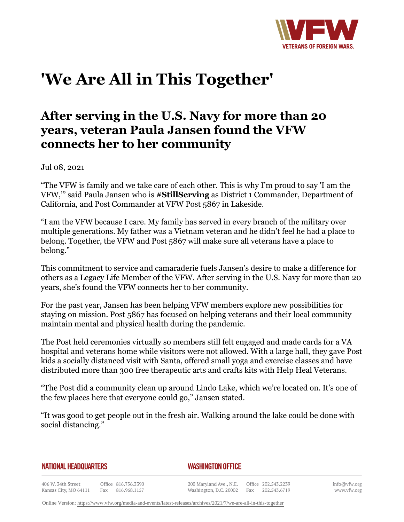

## **'We Are All in This Together'**

## **After serving in the U.S. Navy for more than 20 years, veteran Paula Jansen found the VFW connects her to her community**

Jul 08, 2021

"The VFW is family and we take care of each other. This is why I'm proud to say 'I am the VFW,'" said Paula Jansen who is **#StillServing** as District 1 Commander, Department of California, and Post Commander at VFW Post 5867 in Lakeside.

"I am the VFW because I care. My family has served in every branch of the military over multiple generations. My father was a Vietnam veteran and he didn't feel he had a place to belong. Together, the VFW and Post 5867 will make sure all veterans have a place to belong."

This commitment to service and camaraderie fuels Jansen's desire to make a difference for others as a Legacy Life Member of the VFW. After serving in the U.S. Navy for more than 20 years, she's found the VFW connects her to her community.

For the past year, Jansen has been helping VFW members explore new possibilities for staying on mission. Post 5867 has focused on helping veterans and their local community maintain mental and physical health during the pandemic.

The Post held ceremonies virtually so members still felt engaged and made cards for a VA hospital and veterans home while visitors were not allowed. With a large hall, they gave Post kids a socially distanced visit with Santa, offered small yoga and exercise classes and have distributed more than 300 free therapeutic arts and crafts kits with Help Heal Veterans.

"The Post did a community clean up around Lindo Lake, which we're located on. It's one of the few places here that everyone could go," Jansen stated.

"It was good to get people out in the fresh air. Walking around the lake could be done with social distancing."

## **NATIONAL HEADQUARTERS**

## *WASHINGTON OFFICE*

406 W. 34th Street Office 816.756.3390 Fax 816.968.1157 Kansas City, MO 64111

200 Maryland Ave., N.E. Washington, D.C. 20002

Office 202.543.2239 Fax 202.543.6719 info@vfw.org www.vfw.org